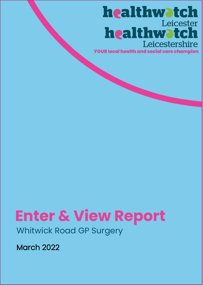## healthwatch Leicester healthwatch Leicestershire

**YOUR local health and social care champion** 

# **Enter & View Report**

Whitwick Road GP Surgery

March 2022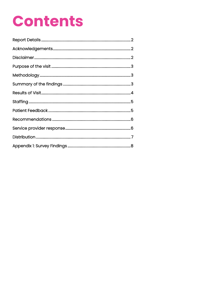## **Contents**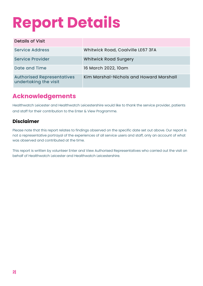# **Report Details**

| <b>Details of Visit</b>                                    |                                         |
|------------------------------------------------------------|-----------------------------------------|
| <b>Service Address</b>                                     | Whitwick Road, Coalville LE67 3FA       |
| Service Provider                                           | <b>Whitwick Road Surgery</b>            |
| Date and Time                                              | 16 March 2022, 10am                     |
| <b>Authorised Representatives</b><br>undertaking the visit | Kim Marshal-Nichols and Howard Marshall |

## **Acknowledgements**

Healthwatch Leicester and Healthwatch Leicestershire would like to thank the service provider, patients and staff for their contribution to the Enter & View Programme.

#### **Disclaimer**

Please note that this report relates to findings observed on the specific date set out above. Our report is not a representative portrayal of the experiences of all service users and staff, only an account of what was observed and contributed at the time.

This report is written by volunteer Enter and View Authorised Representatives who carried out the visit on behalf of Healthwatch Leicester and Healthwatch Leicestershire.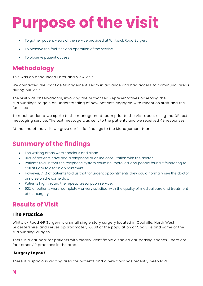# **Purpose of the visit**

- To gather patient views of the service provided at Whitwick Road Surgery
- To observe the facilities and operation of the service
- To observe patient access

### **Methodology**

This was an announced Enter and View visit.

We contacted the Practice Management Team in advance and had access to communal areas during our visit.

The visit was observational, involving the Authorised Representatives observing the surroundings to gain an understanding of how patients engaged with reception staff and the facilities.

To reach patients, we spoke to the management team prior to the visit about using the GP text messaging service. The text message was sent to the patients and we received 49 responses.

At the end of the visit, we gave our initial findings to the Management team.

## **Summary of the findings**

- The waiting areas were spacious and clean.
- 96% of patients have had a telephone or online consultation with the doctor.
- Patients told us that the telephone system could be improved, and people found it frustrating to call at 8am to get an appointment.
- However, 74% of patients told us that for urgent appointments they could normally see the doctor or nurse on the same day.
- Patients highly rated the repeat prescription service.
- 92% of patients were 'completely or very satisfied' with the quality of medical care and treatment at this surgery.

## **Results of Visit**

#### **The Practice**

Whitwick Road GP Surgery is a small single story surgery located in Coalville, North West Leicestershire, and serves approximately 7,000 of the population of Coalville and some of the surrounding villages.

There is a car park for patients with clearly identifiable disabled car parking spaces. There are four other GP practices in the area.

#### **Surgery Layout**

There is a spacious waiting area for patients and a new floor has recently been laid.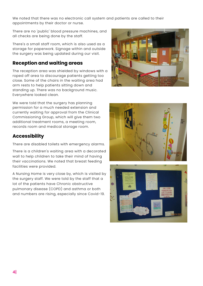We noted that there was no electronic call system and patients are called to their appointments by their doctor or nurse.

There are no 'public' blood pressure machines, and all checks are being done by the staff.

There's a small staff room, which is also used as a storage for paperwork. Signage within and outside the surgery was being updated during our visit.

#### **Reception and waiting areas**

The reception area was shielded by windows with a roped off area to discourage patients getting too close. Some of the chairs in the waiting area had arm rests to help patients sitting down and standing up. There was no background music. Everywhere looked clean.

We were told that the surgery has planning permission for a much needed extension and currently waiting for approval from the Clinical Commissioning Group, which will give them two additional treatment rooms, a meeting room, records room and medical storage room.

#### **Accessibility**

There are disabled toilets with emergency alarms.

There is a children's waiting area with a decorated wall to help children to take their mind of having their vaccinations. We noted that breast feeding facilities were provided.

A Nursing Home is very close by, which is visited by the surgery staff. We were told by the staff that a lot of the patients have Chronic obstructive pulmonary disease (COPD) and asthma or both and numbers are rising, especially since Covid-19.





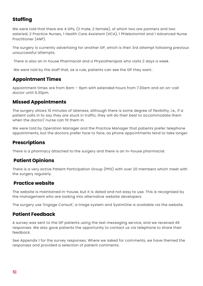#### **Staffing**

We were told that there are 4 GPs, (2 male, 2 female), of which two are partners and two salaried; 2 Practice Nurses, 1 Health Care Assistant (HCA), 1 Phlebotomist and 1 Advanced Nurse Practitioner (ANP).

The surgery is currently advertising for another GP, which is their 3rd attempt following previous unsuccessful attempts.

There is also an in house Pharmacist and a Physiotherapist who visits 2 days a week.

We were told by the staff that, as a rule, patients can see the GP they want.

#### **Appointment Times**

Appointment times are from 8am – 6pm with extended hours from 7.30am and an on-call doctor until 6.30pm.

#### **Missed Appointments**

The surgery allows 10 minutes of lateness, although there is some degree of flexibility, i.e., if a patient calls in to say they are stuck in traffic, they will do their best to accommodate them when the doctor/ nurse can fit them in.

We were told by Operation Manager and the Practice Manager that patients prefer telephone appointments, but the doctors prefer face to face, as phone appointments tend to take longer.

#### **Prescriptions**

There is a pharmacy attached to the surgery and there is an in-house pharmacist.

#### **Patient Opinions**

There is a very active Patient Participation Group (PPG) with over 20 members which meet with the surgery regularly.

#### **Practice website**

The website is maintained in-house, but it is dated and not easy to use. This is recognised by the management who are looking into alternative website developers.

The surgery use 'Engage Consult', a triage system and SystmOne is available via the website.

#### **Patient Feedback**

A survey was sent to the GP patients using the text messaging service, and we received 49 responses. We also gave patients the opportunity to contact us via telephone to share their feedback.

See Appendix 1 for the survey responses. Where we asked for comments, we have themed the responses and provided a selection of patient comments.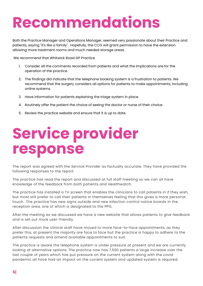## **Recommendations**

Both the Practice Manager and Operations Manager, seemed very passionate about their Practice and patients, saying "it's like a family". Hopefully, the CCG will grant permission to have the extension allowing more treatment rooms and much needed storage areas.

We recommend that Whitwick Road GP Practice

- 1. Consider all the comments recorded from patients and what the implications are for the operation of the practice.
- 2. The findings did indicate that the telephone booking system is a frustration to patients. We recommend that the surgery considers all options for patients to make appointments, including online systems.
- 3. Have information for patients explaining the triage system in place.
- 4. Routinely offer the patient the choice of seeing the doctor or nurse of their choice.
- 5. Review the practice website and ensure that it is up to date.

## **Service provider response**

The report was agreed with the Service Provider as factually accurate. They have provided the following responses to the report:

The practice has read the report and discussed at full staff meeting so we can all have knowledge of the feedback from both patients and Healthwatch.

The practice has installed a TV screen that enables the clinicians to call patients in if they wish, but most still prefer to call their patients in themselves feeling that this gives a more personal touch. The practice has new signs outside and new infection control notice boards in the reception area, one of which is designated to the PPG.

After the meeting as we discussed we have a new website that allows patients to give feedback and is set out more user-friendly.

After discussion the clinical staff have moved to more face-to-face appointments, as they prefer this, at present the majority are face to face but the practice is happy to adhere to the patients requests and amend available appointments to suit.

The practice is aware the telephone system is under pressure at present and we are currently looking at alternative options. The practice now has 7,500 patients a large increase over the last couple of years which has put pressure on the current system along with the covid pandemic all have had an impact on the current system and updated system is required.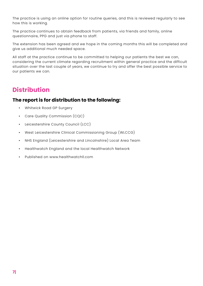The practice is using an online option for routine queries, and this is reviewed regularly to see how this is working.

The practice continues to obtain feedback from patients, via friends and family, online questionnaire, PPG and just via phone to staff.

The extension has been agreed and we hope in the coming months this will be completed and give us additional much needed space.

All staff at the practice continue to be committed to helping our patients the best we can, considering the current climate regarding recruitment within general practice and the difficult situation over the last couple of years, we continue to try and offer the best possible service to our patients we can.

## **Distribution**

#### **The report is for distribution to the following:**

- Whitwick Road GP Surgery
- Care Quality Commission (CQC)
- Leicestershire County Council (LCC)
- West Leicestershire Clinical Commissioning Group (WLCCG)
- NHS England (Leicestershire and Lincolnshire) Local Area Team
- Healthwatch England and the local Healthwatch Network
- Published on [www.healthwatchll.com](http://www.healthwatchll.com/)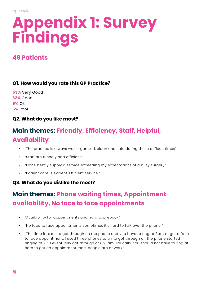# **Appendix 1: Survey Findings**

## **49 Patients**

#### **Q1. How would you rate this GP Practice?**

| 53% Very Good   |
|-----------------|
| <b>32% Good</b> |
| 9% Ok           |
| 6% Poor         |

#### **Q2. What do you like most?**

## **Main themes: Friendly, Efficiency, Staff, Helpful, Availability**

- "The practice is always well organised, clean and safe during these difficult times".
- "Staff are friendly and efficient."
- "Consistently supply a service exceeding my expectations of a busy surgery."
- "Patient care is evident. Efficient service."

#### **Q3. What do you dislike the most?**

## **Main themes: Phone waiting times, Appointment availability, No face to face appointments**

- "Availability for appointments and hard to prebook."
- "No face to face appointments sometimes it's hard to talk over the phone."
- "The time it takes to get through on the phone and you have to ring at 8am to get a face to face appointment. I used three phones to try to get through on the phone started ringing at 7.59 eventually got through at 8.20am. 120 calls. You should not have to ring at 8am to get an appointment most people are at work."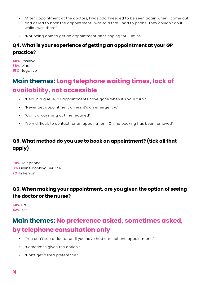- "After appointment at the doctors, I was told I needed to be seen again when I came out and asked to book the appointment I was told that I had to phone. They couldn't do it while I was there".
- "Not being able to get an appointment after ringing for 30mins."

#### **Q4. What is your experience of getting an appointment at your GP practice?**

**48%** Positive **38%** Mixed **15%** Negative

## **Main themes: Long telephone waiting times, lack of availability, not accessible**

- "Held in a queue, all appointments have gone when it's your turn."
- "Never get appointment unless it's an emergency."
- "Can't always ring at time required"
- "Very difficult to contact for an appointment. Online booking has been removed".

#### **Q5. What method do you use to book an appointment? (tick all that apply)**

**90%** Telephone **8%** Online booking Service **2%** In Person

#### **Q6. When making your appointment, are you given the option of seeing the doctor or the nurse?**

**58%** No **42%** Yes

## **Main themes: No preference asked, sometimes asked, by telephone consultation only**

- "You can't see a doctor until you have had a telephone appointment."
- "Sometimes given the option."
- "Don't get asked preference."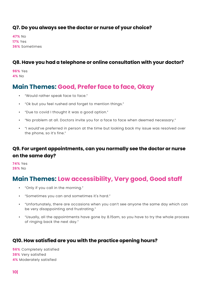#### **Q7. Do you always see the doctor or nurse of your choice?**

**47%** No **17%** Yes **36%** Sometimes

#### **Q8. Have you had a telephone or online consultation with your doctor?**

**96%** Yes **4%** No

### **Main Themes: Good, Prefer face to face, Okay**

- "Would rather speak face to face."
- "Ok but you feel rushed and forget to mention things."
- "Due to covid I thought it was a good option."
- "No problem at all. Doctors invite you for a face to face when deemed necessary."
- "I would've preferred in person at the time but looking back my issue was resolved over the phone, so it's fine."

#### **Q9. For urgent appointments, can you normally see the doctor or nurse on the same day?**

**74%** Yes **26%** No

## **Main Themes: Low accessibility, Very good, Good staff**

- "Only if you call in the morning."
- "Sometimes you can and sometimes it's hard."
- "Unfortunately, there are occasions when you can't see anyone the same day which can be very disappointing and frustrating."
- "Usually, all the appointments have gone by 8.15am, so you have to try the whole process of ringing back the next day."

#### **Q10. How satisfied are you with the practice opening hours?**

**56%** Completely satisfied **38%** Very satisfied **4%** Moderately satisfied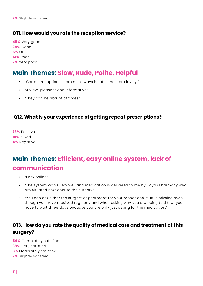#### **Q11. How would you rate the reception service?**

**45%** Very good **34%** Good **5%** OK **14%** Poor **2%** Very poor

### **Main Themes: Slow, Rude, Polite, Helpful**

- "Certain receptionists are not always helpful, most are lovely."
- "Always pleasant and informative."
- "They can be abrupt at times."

#### **Q12. What is your experience of getting repeat prescriptions?**

**78%** Positive **18%** Mixed **4%** Negative

## **Main Themes: Efficient, easy online system, lack of communication**

- "Easy online."
- "The system works very well and medication is delivered to me by Lloyds Pharmacy who are situated next door to the surgery."
- "You can ask either the surgery or pharmacy for your repeat and stuff is missing even though you have received regularly and when asking why you are being told that you have to wait three days because you are only just asking for the medication."

#### **Q13. How do you rate the quality of medical care and treatment at this surgery?**

**54%** Completely satisfied **38%** Very satisfied **6%** Moderately satisfied **2%** Slightly satisfied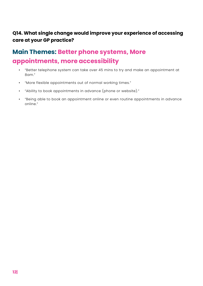#### **Q14. What single change would improve your experience of accessing care at your GP practice?**

## **Main Themes: Better phone systems, More appointments, more accessibility**

- "Better telephone system can take over 45 mins to try and make an appointment at 8am."
- "More flexible appointments out of normal working times."
- "Ability to book appointments in advance (phone or website)."
- "Being able to book an appointment online or even routine appointments in advance online."